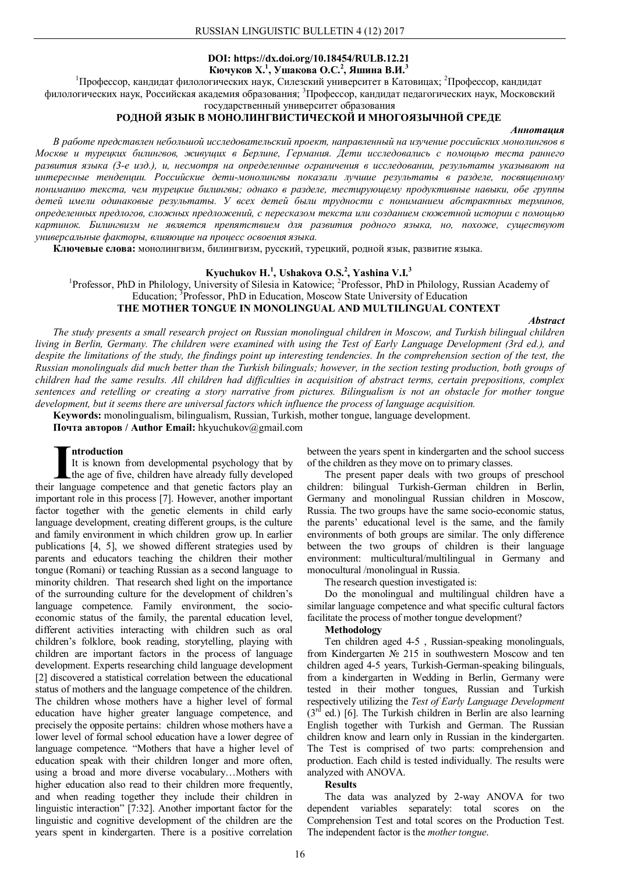## **DOI: https://dx.doi.org/10.18454/RULB.12.21 Кючуков Х.<sup>1</sup> , Ушакова О.С.<sup>2</sup> , Яшина В.И.<sup>3</sup>**

<sup>1</sup>Профессор, кандидат филологических наук, Силезский университет в Катовицах; <sup>2</sup>Профессор, кандидат филологических наук, Российская академия образования; <sup>3</sup>Профессор, кандидат педагогических наук, Московский

### государственный университет образования **РОДНОЙ ЯЗЫК В МОНОЛИНГВИСТИЧЕСКОЙ И МНОГОЯЗЫЧНОЙ СРЕДЕ**

#### *Аннотация*

*В работе представлен небольшой исследовательский проект, направленный на изучение российских монолингвов в Москве и турецких билингвов, живущих в Берлине, Германия. Дети исследовались с помощью теста раннего развития языка (3-е изд.), и, несмотря на определенные ограничения в исследовании, результаты указывают на интересные тенденции. Российские дети-монолингвы показали лучшие результаты в разделе, посвященному пониманию текста, чем турецкие билингвы; однако в разделе, тестирующему продуктивные навыки, обе группы детей имели одинаковые результаты. У всех детей были трудности с пониманием абстрактных терминов, определенных предлогов, сложных предложений, с пересказом текста или созданием сюжетной истории с помощью картинок. Билингвизм не является препятствием для развития родного языка, но, похоже, существуют универсальные факторы, влияющие на процесс освоения языка.*

**Ключевые слова:** монолингвизм, билингвизм, русский, турецкий, родной язык, развитие языка.

## **Kyuchukov H.<sup>1</sup> , Ushakova O.S.<sup>2</sup> , Yashina V.I.<sup>3</sup>**

<sup>1</sup>Professor, PhD in Philology, University of Silesia in Katowice; <sup>2</sup>Professor, PhD in Philology, Russian Academy of Education; <sup>3</sup>Professor, PhD in Education, Moscow State University of Education

# **THE MOTHER TONGUE IN MONOLINGUAL AND MULTILINGUAL CONTEXT**

*Abstract*

*The study presents a small research project on Russian monolingual children in Moscow, and Turkish bilingual children living in Berlin, Germany. The children were examined with using the Test of Early Language Development (3rd ed.), and despite the limitations of the study, the findings point up interesting tendencies. In the comprehension section of the test, the Russian monolinguals did much better than the Turkish bilinguals; however, in the section testing production, both groups of children had the same results. All children had difficulties in acquisition of abstract terms, certain prepositions, complex sentences and retelling or creating a story narrative from pictures. Bilingualism is not an obstacle for mother tongue development, but it seems there are universal factors which influence the process of language acquisition.*

**Keywords:** monolingualism, bilingualism, Russian, Turkish, mother tongue, language development.

**Почта авторов / Author Email:** hkyuchukov@gmail.com

## **ntroduction**

It is known from developmental psychology that by the age of five, children have already fully developed If is known from developmental psychology that by<br>the age of five, children have already fully developed<br>their language competence and that genetic factors play an important role in this process [7]. However, another important factor together with the genetic elements in child early language development, creating different groups, is the culture and family environment in which children grow up. In earlier publications [4, 5], we showed different strategies used by parents and educators teaching the children their mother tongue (Romani) or teaching Russian as a second language to minority children. That research shed light on the importance of the surrounding culture for the development of children's language competence. Family environment, the socioeconomic status of the family, the parental education level, different activities interacting with children such as oral children's folklore, book reading, storytelling, playing with children are important factors in the process of language development. Experts researching child language development [2] discovered a statistical correlation between the educational status of mothers and the language competence of the children. The children whose mothers have a higher level of formal education have higher greater language competence, and precisely the opposite pertains: children whose mothers have a lower level of formal school education have a lower degree of language competence. "Mothers that have a higher level of education speak with their children longer and more often, using a broad and more diverse vocabulary…Mothers with higher education also read to their children more frequently, and when reading together they include their children in linguistic interaction" [7:32]. Another important factor for the linguistic and cognitive development of the children are the years spent in kindergarten. There is a positive correlation

between the years spent in kindergarten and the school success of the children as they move on to primary classes.

The present paper deals with two groups of preschool children: bilingual Turkish-German children in Berlin, Germany and monolingual Russian children in Moscow, Russia. The two groups have the same socio-economic status, the parents' educational level is the same, and the family environments of both groups are similar. The only difference between the two groups of children is their language environment: multicultural/multilingual in Germany and monocultural /monolingual in Russia.

The research question investigated is:

Do the monolingual and multilingual children have a similar language competence and what specific cultural factors facilitate the process of mother tongue development?

#### **Methodology**

Ten children aged 4-5 , Russian-speaking monolinguals, from Kindergarten № 215 in southwestern Moscow and ten children aged 4-5 years, Turkish-German-speaking bilinguals, from a kindergarten in Wedding in Berlin, Germany were tested in their mother tongues, Russian and Turkish respectively utilizing the *Test of Early Language Development*  $(3<sup>rd</sup>$  ed.) [6]. The Turkish children in Berlin are also learning English together with Turkish and German. The Russian children know and learn only in Russian in the kindergarten. The Test is comprised of two parts: comprehension and production. Each child is tested individually. The results were analyzed with ANOVA.

#### **Results**

The data was analyzed by 2-way ANOVA for two dependent variables separately: total scores on the Comprehension Test and total scores on the Production Test. The independent factor is the *mother tongue*.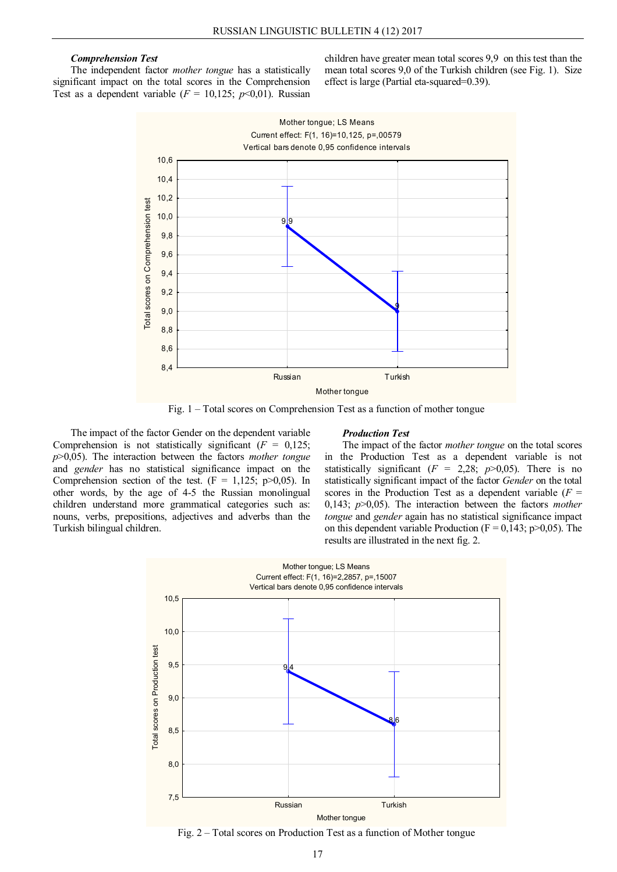## *Comprehension Test*

The independent factor *mother tongue* has a statistically significant impact on the total scores in the Comprehension Test as a dependent variable  $(F = 10,125; p<0.01)$ . Russian

children have greater mean total scores 9,9 on this test than the mean total scores 9,0 of the Turkish children (see Fig. 1). Size effect is large (Partial eta-squared=0.39).



Fig. 1 – Total scores on Comprehension Test as a function of mother tongue

The impact of the factor Gender on the dependent variable Comprehension is not statistically significant  $(F = 0.125)$ ; *p*>0,05). The interaction between the factors *mother tongue* and *gender* has no statistical significance impact on the Comprehension section of the test.  $(F = 1,125; p>0,05)$ . In other words, by the age of 4-5 the Russian monolingual children understand more grammatical categories such as: nouns, verbs, prepositions, adjectives and adverbs than the Turkish bilingual children.

#### *Production Test*

The impact of the factor *mother tongue* on the total scores in the Production Test as a dependent variable is not statistically significant ( $F = 2,28$ ;  $p > 0,05$ ). There is no statistically significant impact of the factor *Gender* on the total scores in the Production Test as a dependent variable  $(F =$ 0,143; *p*>0,05). The interaction between the factors *mother tongue* and *gender* again has no statistical significance impact on this dependent variable Production ( $F = 0.143$ ; p $> 0.05$ ). The results are illustrated in the next fig. 2.



Fig. 2 – Total scores on Production Test as a function of Mother tongue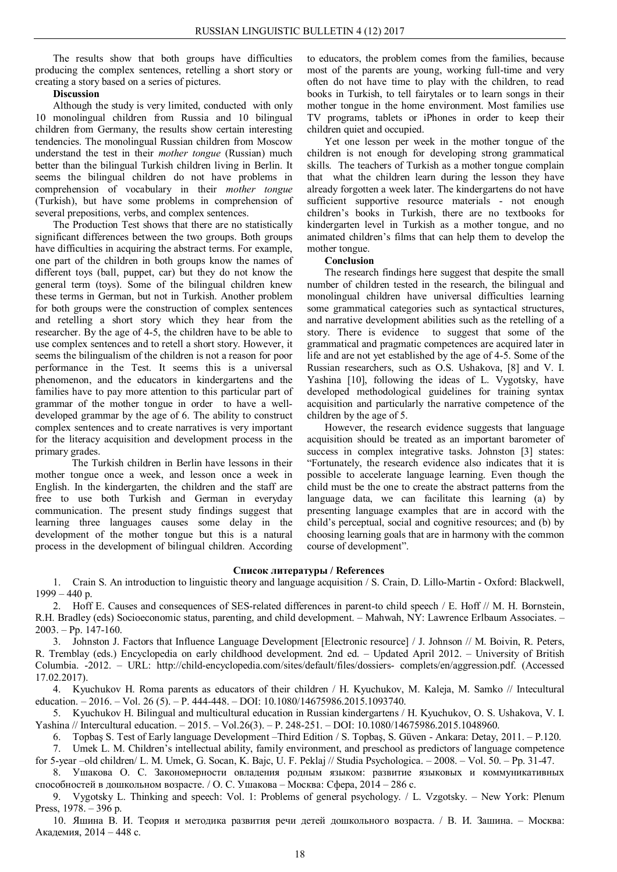The results show that both groups have difficulties producing the complex sentences, retelling a short story or creating a story based on a series of pictures.

## **Discussion**

Although the study is very limited, conducted with only 10 monolingual children from Russia and 10 bilingual children from Germany, the results show certain interesting tendencies. The monolingual Russian children from Moscow understand the test in their *mother tongue* (Russian) much better than the bilingual Turkish children living in Berlin. It seems the bilingual children do not have problems in comprehension of vocabulary in their *mother tongue* (Turkish), but have some problems in comprehension of several prepositions, verbs, and complex sentences.

The Production Test shows that there are no statistically significant differences between the two groups. Both groups have difficulties in acquiring the abstract terms. For example, one part of the children in both groups know the names of different toys (ball, puppet, car) but they do not know the general term (toys). Some of the bilingual children knew these terms in German, but not in Turkish. Another problem for both groups were the construction of complex sentences and retelling a short story which they hear from the researcher. By the age of 4-5, the children have to be able to use complex sentences and to retell a short story. However, it seems the bilingualism of the children is not a reason for poor performance in the Test. It seems this is a universal phenomenon, and the educators in kindergartens and the families have to pay more attention to this particular part of grammar of the mother tongue in order to have a welldeveloped grammar by the age of 6. The ability to construct complex sentences and to create narratives is very important for the literacy acquisition and development process in the primary grades.

The Turkish children in Berlin have lessons in their mother tongue once a week, and lesson once a week in English. In the kindergarten, the children and the staff are free to use both Turkish and German in everyday communication. The present study findings suggest that learning three languages causes some delay in the development of the mother tongue but this is a natural process in the development of bilingual children. According

to educators, the problem comes from the families, because most of the parents are young, working full-time and very often do not have time to play with the children, to read books in Turkish, to tell fairytales or to learn songs in their mother tongue in the home environment. Most families use TV programs, tablets or iPhones in order to keep their children quiet and occupied.

Yet one lesson per week in the mother tongue of the children is not enough for developing strong grammatical skills. The teachers of Turkish as a mother tongue complain that what the children learn during the lesson they have already forgotten a week later. The kindergartens do not have sufficient supportive resource materials - not enough children's books in Turkish, there are no textbooks for kindergarten level in Turkish as a mother tongue, and no animated children's films that can help them to develop the mother tongue.

## **Conclusion**

The research findings here suggest that despite the small number of children tested in the research, the bilingual and monolingual children have universal difficulties learning some grammatical categories such as syntactical structures, and narrative development abilities such as the retelling of a story. There is evidence to suggest that some of the grammatical and pragmatic competences are acquired later in life and are not yet established by the age of 4-5. Some of the Russian researchers, such as O.S. Ushakova, [8] and V. I. Yashina [10], following the ideas of L. Vygotsky, have developed methodological guidelines for training syntax acquisition and particularly the narrative competence of the children by the age of 5.

However, the research evidence suggests that language acquisition should be treated as an important barometer of success in complex integrative tasks. Johnston [3] states: "Fortunately, the research evidence also indicates that it is possible to accelerate language learning. Even though the child must be the one to create the abstract patterns from the language data, we can facilitate this learning (a) by presenting language examples that are in accord with the child's perceptual, social and cognitive resources; and (b) by choosing learning goals that are in harmony with the common course of development".

### **Список литературы / References**

1. Crain S. An introduction to linguistic theory and language acquisition / S. Crain, D. Lillo-Martin - Oxford: Blackwell,  $1999 - 440$  p.

2. Hoff E. Causes and consequences of SES-related differences in parent-to child speech / E. Hoff // M. H. Bornstein, R.H. Bradley (eds) Socioeconomic status, parenting, and child development. – Mahwah, NY: Lawrence Erlbaum Associates. –  $2003. - Pp.$  147-160.

3. Johnston J. Factors that Influence Language Development [Electronic resource] / J. Johnson // M. Boivin, R. Peters, R. Tremblay (eds.) Encyclopedia on early childhood development. 2nd ed. – Updated April 2012. – University of British Columbia. -2012. – URL: http://child-encyclopedia.com/sites/default/files/dossiers- complets/en/aggression.pdf. (Accessed 17.02.2017).

4. Kyuchukov H. Roma parents as educators of their children / H. Kyuchukov, M. Kaleja, M. Samko // Intecultural education. – 2016. – Vol. 26 (5). – P. 444-448. – DOI: 10.1080/14675986.2015.1093740.

5. Kyuchukov H. Bilingual and multicultural education in Russian kindergartens / H. Kyuchukov, O. S. Ushakova, V. I. Yashina // Intercultural education. – 2015. – Vol.26(3). – P. 248-251. – DOI: 10.1080/14675986.2015.1048960.

6. Topbaş S. Test of Early language Development –Third Edition / S. Topbaş, S. Güven - Ankara: Detay, 2011. – P.120.

7. Umek L. M. Children's intellectual ability, family environment, and preschool as predictors of language competence for 5-year –old children/ L. M. Umek, G. Socan, K. Bajc, U. F. Peklaj // Studia Psychologica. – 2008. – Vol. 50. – Pp. 31-47.

8. Ушакова О. С. Закономерности овладения родным языком: развитие языковых и коммуникативных способностей в дошкольном возрасте. / О. С. Ушакова – Москва: Сфера, 2014 – 286 c.

9. Vygotsky L. Thinking and speech: Vol. 1: Problems of general psychology. / L. Vzgotsky. – New York: Plenum Press, 1978. – 396 p.

10. Яшина В. И. Теория и методика развития речи детей дошкольного возраста. / В. И. Зашина. – Москва: Академия, 2014 – 448 с.